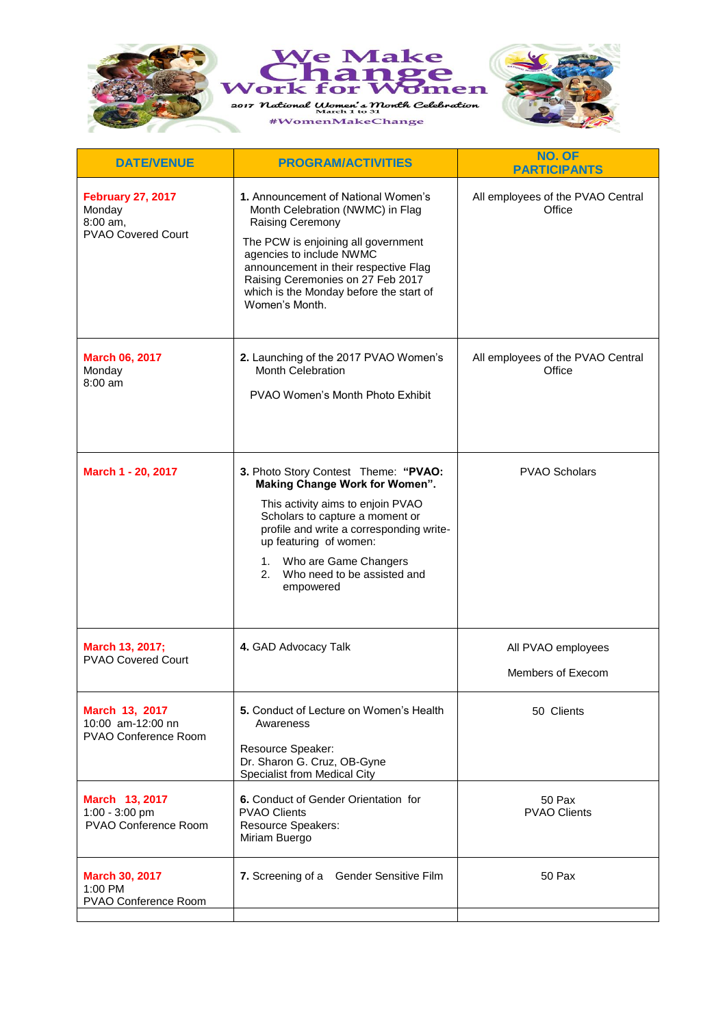



| <b>HAYIONAL NOMINATION</b> |
|----------------------------|
|                            |
|                            |
|                            |

| <b>DATE/VENUE</b>                                                    | <b>PROGRAM/ACTIVITIES</b>                                                                                                                                                                                                                                                                                 | NO. OF<br><b>PARTICIPANTS</b>               |
|----------------------------------------------------------------------|-----------------------------------------------------------------------------------------------------------------------------------------------------------------------------------------------------------------------------------------------------------------------------------------------------------|---------------------------------------------|
| <b>February 27, 2017</b><br>Monday<br>8:00 am,<br>PVAO Covered Court | 1. Announcement of National Women's<br>Month Celebration (NWMC) in Flag<br>Raising Ceremony<br>The PCW is enjoining all government<br>agencies to include NWMC<br>announcement in their respective Flag<br>Raising Ceremonies on 27 Feb 2017<br>which is the Monday before the start of<br>Women's Month. | All employees of the PVAO Central<br>Office |
| <b>March 06, 2017</b><br>Monday<br>8:00 am                           | 2. Launching of the 2017 PVAO Women's<br><b>Month Celebration</b><br>PVAO Women's Month Photo Exhibit                                                                                                                                                                                                     | All employees of the PVAO Central<br>Office |
| March 1 - 20, 2017                                                   | 3. Photo Story Contest Theme: "PVAO:<br>Making Change Work for Women".<br>This activity aims to enjoin PVAO<br>Scholars to capture a moment or<br>profile and write a corresponding write-<br>up featuring of women:<br>Who are Game Changers<br>1.<br>2.<br>Who need to be assisted and<br>empowered     | <b>PVAO Scholars</b>                        |
| March 13, 2017;<br><b>PVAO Covered Court</b>                         | 4. GAD Advocacy Talk                                                                                                                                                                                                                                                                                      | All PVAO employees<br>Members of Execom     |
| March 13, 2017<br>10:00 am-12:00 nn<br><b>PVAO Conference Room</b>   | 5. Conduct of Lecture on Women's Health<br>Awareness<br>Resource Speaker:<br>Dr. Sharon G. Cruz, OB-Gyne<br>Specialist from Medical City                                                                                                                                                                  | 50 Clients                                  |
| March 13, 2017<br>1:00 - 3:00 pm<br>PVAO Conference Room             | 6. Conduct of Gender Orientation for<br><b>PVAO Clients</b><br><b>Resource Speakers:</b><br>Miriam Buergo                                                                                                                                                                                                 | 50 Pax<br><b>PVAO Clients</b>               |
| March 30, 2017<br>1:00 PM<br>PVAO Conference Room                    | 7. Screening of a Gender Sensitive Film                                                                                                                                                                                                                                                                   | 50 Pax                                      |